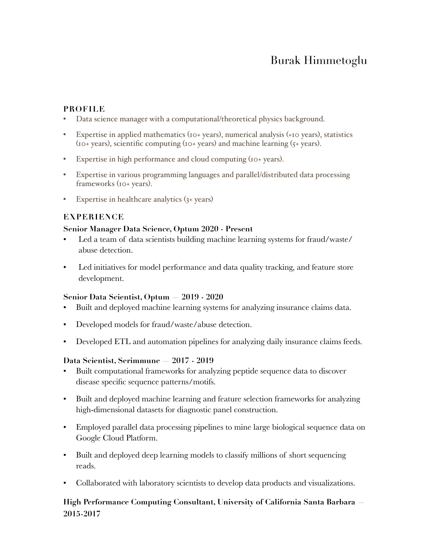# Burak Himmetoglu

## **PROFILE**

- Data science manager with a computational/theoretical physics background.
- Expertise in applied mathematics (10+ years), numerical analysis (+10 years), statistics (10+ years), scientific computing (10+ years) and machine learning (5+ years).
- Expertise in high performance and cloud computing (10+ years).
- Expertise in various programming languages and parallel/distributed data processing frameworks (10+ years).
- Expertise in healthcare analytics (3+ years)

## **EXPERIENCE**

#### **Senior Manager Data Science, Optum 2020 - Present**

- Led a team of data scientists building machine learning systems for fraud/waste/ abuse detection.
- Led initiatives for model performance and data quality tracking, and feature store development.

## **Senior Data Scientist, Optum — 2019 - 2020**

- Built and deployed machine learning systems for analyzing insurance claims data.
- Developed models for fraud/waste/abuse detection.
- Developed ETL and automation pipelines for analyzing daily insurance claims feeds.

#### **Data Scientist, Serimmune — 2017 - 2019**

- Built computational frameworks for analyzing peptide sequence data to discover disease specific sequence patterns/motifs.
- Built and deployed machine learning and feature selection frameworks for analyzing high-dimensional datasets for diagnostic panel construction.
- Employed parallel data processing pipelines to mine large biological sequence data on Google Cloud Platform.
- Built and deployed deep learning models to classify millions of short sequencing reads.
- Collaborated with laboratory scientists to develop data products and visualizations.

# **High Performance Computing Consultant, University of California Santa Barbara — 2015-2017**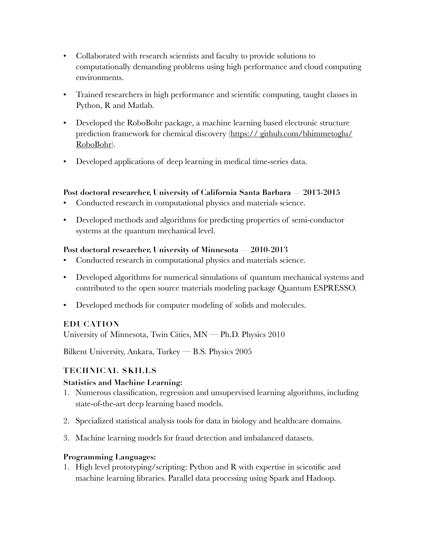- Collaborated with research scientists and faculty to provide solutions to computationally demanding problems using high performance and cloud computing environments.
- Trained researchers in high performance and scientific computing, taught classes in Python, R and Matlab.
- Developed the RoboBohr package, a machine learning based electronic structure prediction framework for chemical discovery ([https:// github.com/bhimmetoglu/](http://www.apple.com) [RoboBohr\)](http://www.apple.com).
- Developed applications of deep learning in medical time-series data.

## **Post doctoral researcher, University of California Santa Barbara — 2013-2015**

- Conducted research in computational physics and materials science.
- Developed methods and algorithms for predicting properties of semi-conductor systems at the quantum mechanical level.

## **Post doctoral researcher, University of Minnesota — 2010-2013**

- Conducted research in computational physics and materials science.
- Developed algorithms for numerical simulations of quantum mechanical systems and contributed to the open source materials modeling package Quantum ESPRESSO.
- Developed methods for computer modeling of solids and molecules.

# **EDUCATION**

University of Minnesota, Twin Cities, MN — Ph.D. Physics 2010

Bilkent University, Ankara, Turkey — B.S. Physics 2005

# **TECHNICAL SKILLS**

## **Statistics and Machine Learning:**

- 1. Numerous classification, regression and unsupervised learning algorithms, including state-of-the-art deep learning based models.
- 2. Specialized statistical analysis tools for data in biology and healthcare domains.
- 3. Machine learning models for fraud detection and imbalanced datasets.

## **Programming Languages:**

1. High level prototyping/scripting: Python and R with expertise in scientific and machine learning libraries. Parallel data processing using Spark and Hadoop.